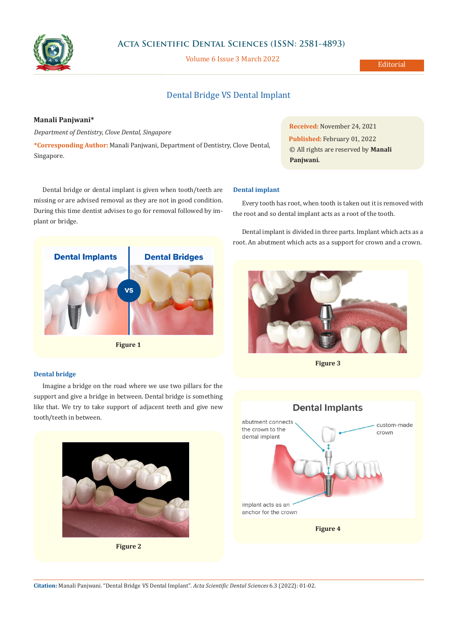

# **Acta Scientific Dental Sciences (ISSN: 2581-4893)**

Volume 6 Issue 3 March 2022

# Dental Bridge VS Dental Implant

# **Manali Panjwani\***

*Department of Dentistry, Clove Dental, Singapore*

**\*Corresponding Author:** Manali Panjwani, Department of Dentistry, Clove Dental, Singapore.

**Received:** November 24, 2021 **Published:** February 01, 2022 © All rights are reserved by **Manali Panjwani***.*

Dental bridge or dental implant is given when tooth/teeth are missing or are advised removal as they are not in good condition. During this time dentist advises to go for removal followed by implant or bridge.



**Figure 1**

## **Dental bridge**

Imagine a bridge on the road where we use two pillars for the support and give a bridge in between. Dental bridge is something like that. We try to take support of adjacent teeth and give new tooth/teeth in between.



**Figure 2**

#### **Dental implant**

Every tooth has root, when tooth is taken out it is removed with the root and so dental implant acts as a root of the tooth.

Dental implant is divided in three parts. Implant which acts as a root. An abutment which acts as a support for crown and a crown.



**Figure 3**



**Citation:** Manali Panjwani*.* "Dental Bridge VS Dental Implant". *Acta Scientific Dental Sciences* 6.3 (2022): 01-02.